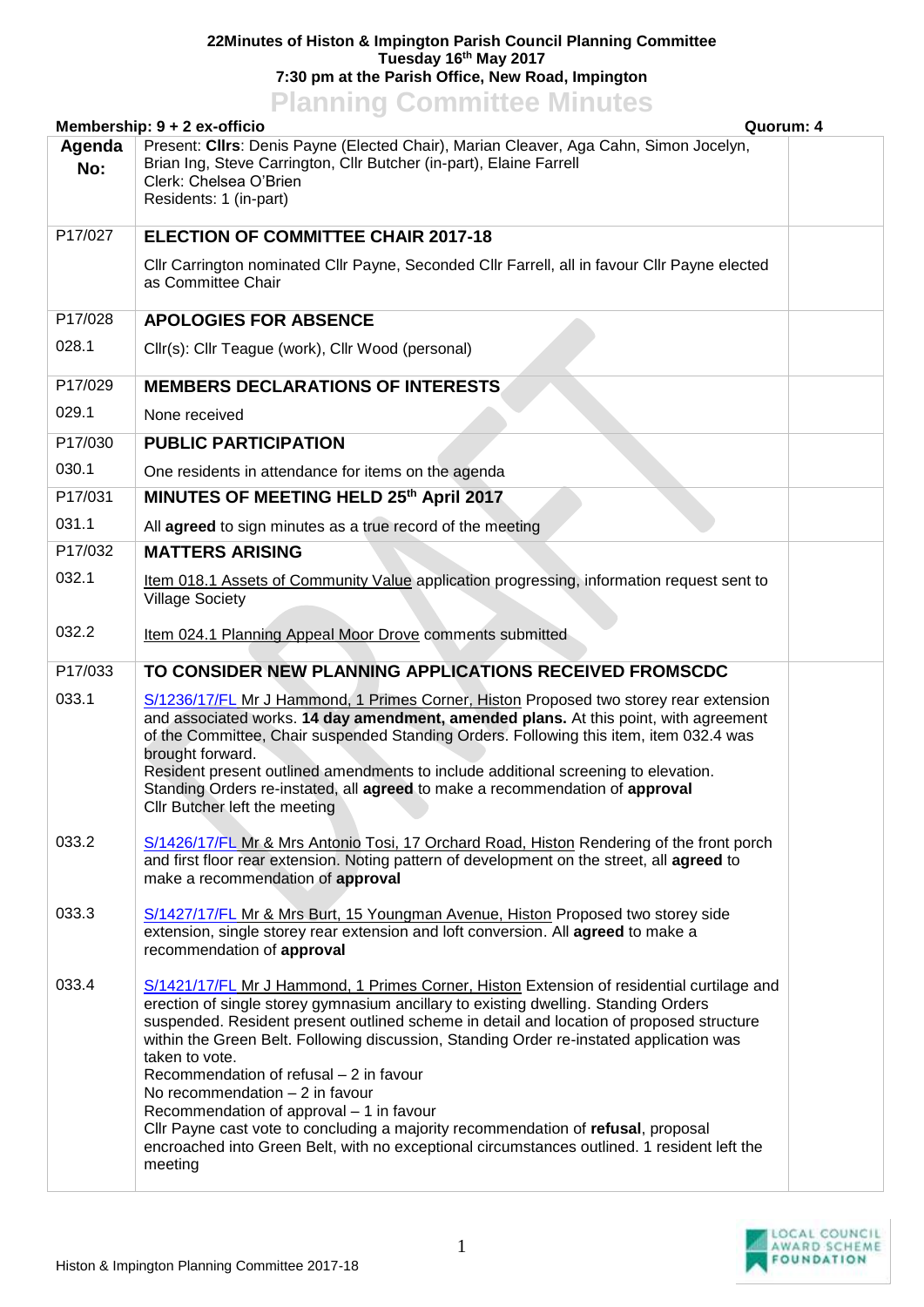## **22Minutes of Histon & Impington Parish Council Planning Committee Tuesday 16th May 2017 7:30 pm at the Parish Office, New Road, Impington**

## **Planning Committee Minutes**

| Membership: 9 + 2 ex-officio<br>Quorum: 4 |                                                                                                                                                                                                                                                                                                                                                                                                                                                                                                                                                                                                                                                                                                                     |  |
|-------------------------------------------|---------------------------------------------------------------------------------------------------------------------------------------------------------------------------------------------------------------------------------------------------------------------------------------------------------------------------------------------------------------------------------------------------------------------------------------------------------------------------------------------------------------------------------------------------------------------------------------------------------------------------------------------------------------------------------------------------------------------|--|
| Agenda<br>No:                             | Present: Cllrs: Denis Payne (Elected Chair), Marian Cleaver, Aga Cahn, Simon Jocelyn,<br>Brian Ing, Steve Carrington, Cllr Butcher (in-part), Elaine Farrell<br>Clerk: Chelsea O'Brien<br>Residents: 1 (in-part)                                                                                                                                                                                                                                                                                                                                                                                                                                                                                                    |  |
| P17/027                                   | <b>ELECTION OF COMMITTEE CHAIR 2017-18</b>                                                                                                                                                                                                                                                                                                                                                                                                                                                                                                                                                                                                                                                                          |  |
|                                           | Cllr Carrington nominated Cllr Payne, Seconded Cllr Farrell, all in favour Cllr Payne elected<br>as Committee Chair                                                                                                                                                                                                                                                                                                                                                                                                                                                                                                                                                                                                 |  |
| P17/028                                   | <b>APOLOGIES FOR ABSENCE</b>                                                                                                                                                                                                                                                                                                                                                                                                                                                                                                                                                                                                                                                                                        |  |
| 028.1                                     | Cllr(s): Cllr Teague (work), Cllr Wood (personal)                                                                                                                                                                                                                                                                                                                                                                                                                                                                                                                                                                                                                                                                   |  |
| P17/029                                   | <b>MEMBERS DECLARATIONS OF INTERESTS</b>                                                                                                                                                                                                                                                                                                                                                                                                                                                                                                                                                                                                                                                                            |  |
| 029.1                                     | None received                                                                                                                                                                                                                                                                                                                                                                                                                                                                                                                                                                                                                                                                                                       |  |
| P17/030                                   | <b>PUBLIC PARTICIPATION</b>                                                                                                                                                                                                                                                                                                                                                                                                                                                                                                                                                                                                                                                                                         |  |
| 030.1                                     | One residents in attendance for items on the agenda                                                                                                                                                                                                                                                                                                                                                                                                                                                                                                                                                                                                                                                                 |  |
| P17/031                                   | MINUTES OF MEETING HELD 25th April 2017                                                                                                                                                                                                                                                                                                                                                                                                                                                                                                                                                                                                                                                                             |  |
| 031.1                                     | All agreed to sign minutes as a true record of the meeting                                                                                                                                                                                                                                                                                                                                                                                                                                                                                                                                                                                                                                                          |  |
| P17/032                                   | <b>MATTERS ARISING</b>                                                                                                                                                                                                                                                                                                                                                                                                                                                                                                                                                                                                                                                                                              |  |
| 032.1                                     | Item 018.1 Assets of Community Value application progressing, information request sent to<br><b>Village Society</b>                                                                                                                                                                                                                                                                                                                                                                                                                                                                                                                                                                                                 |  |
| 032.2                                     | Item 024.1 Planning Appeal Moor Drove comments submitted                                                                                                                                                                                                                                                                                                                                                                                                                                                                                                                                                                                                                                                            |  |
| P17/033                                   | TO CONSIDER NEW PLANNING APPLICATIONS RECEIVED FROMSCDC                                                                                                                                                                                                                                                                                                                                                                                                                                                                                                                                                                                                                                                             |  |
| 033.1                                     | S/1236/17/FL Mr J Hammond, 1 Primes Corner, Histon Proposed two storey rear extension<br>and associated works. 14 day amendment, amended plans. At this point, with agreement<br>of the Committee, Chair suspended Standing Orders. Following this item, item 032.4 was<br>brought forward.<br>Resident present outlined amendments to include additional screening to elevation.<br>Standing Orders re-instated, all agreed to make a recommendation of approval<br>Cllr Butcher left the meeting                                                                                                                                                                                                                  |  |
| 033.2                                     | S/1426/17/FL Mr & Mrs Antonio Tosi, 17 Orchard Road, Histon Rendering of the front porch<br>and first floor rear extension. Noting pattern of development on the street, all agreed to<br>make a recommendation of approval                                                                                                                                                                                                                                                                                                                                                                                                                                                                                         |  |
| 033.3                                     | S/1427/17/FL Mr & Mrs Burt, 15 Youngman Avenue, Histon Proposed two storey side<br>extension, single storey rear extension and loft conversion. All agreed to make a<br>recommendation of approval                                                                                                                                                                                                                                                                                                                                                                                                                                                                                                                  |  |
| 033.4                                     | S/1421/17/FL Mr J Hammond, 1 Primes Corner, Histon Extension of residential curtilage and<br>erection of single storey gymnasium ancillary to existing dwelling. Standing Orders<br>suspended. Resident present outlined scheme in detail and location of proposed structure<br>within the Green Belt. Following discussion, Standing Order re-instated application was<br>taken to vote.<br>Recommendation of refusal - 2 in favour<br>No recommendation $-2$ in favour<br>Recommendation of approval - 1 in favour<br>Cllr Payne cast vote to concluding a majority recommendation of refusal, proposal<br>encroached into Green Belt, with no exceptional circumstances outlined. 1 resident left the<br>meeting |  |